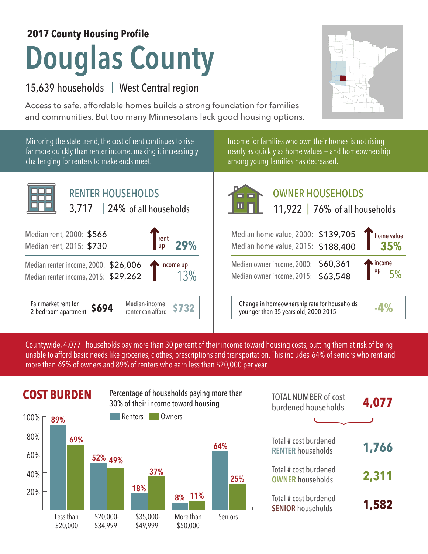### **2017 County Housing Profile**

# **Douglas County**

## 15,639 households | West Central region

Access to safe, affordable homes builds a strong foundation for families and communities. But too many Minnesotans lack good housing options.

Mirroring the state trend, the cost of rent continues to rise far more quickly than renter income, making it increasingly challenging for renters to make ends meet.





# OWNER HOUSEHOLDS

| rent<br>29%<br><b>up</b>                          | Median home value, 2000: \$139,705<br>Median home value, 2015: \$188,400            | home value<br>35%          |
|---------------------------------------------------|-------------------------------------------------------------------------------------|----------------------------|
| 006<br>262<br>income up                           | Median owner income, 2000: \$60,361<br>Median owner income, 2015: \$63,548          | income<br>$\frac{up}{5\%}$ |
| Median-income<br><b>S732</b><br>renter can afford | Change in homeownership rate for households<br>younger than 35 years old, 2000-2015 |                            |

Countywide, 4,077  $\,$  households pay more than 30 percent of their income toward housing costs, putting them at risk of being  $\,$ unable to afford basic needs like groceries, clothes, prescriptions and transportation. This includes 64% of seniors who rent and more than 69% of owners and 89% of renters who earn less than \$20,000 per year.



|               | <b>COST BURDEN</b> |           |            | Percentage of households paying more than<br>30% of their income toward housing |         | <b>TOTAL NUMBER of cost</b><br>burdened households | 4,077 |
|---------------|--------------------|-----------|------------|---------------------------------------------------------------------------------|---------|----------------------------------------------------|-------|
| 100% г        | 89%                |           | Renters    | Owners                                                                          |         |                                                    |       |
| $80\%$<br>60% | 69%                |           |            |                                                                                 | 64%     | Total # cost burdened<br><b>RENTER households</b>  | 1,766 |
| 40%           |                    | 52% 49%   | 37%        |                                                                                 | 25%     | Total # cost burdened<br><b>OWNER households</b>   | 2,311 |
| 20%           |                    |           | 18%        | <b>11%</b><br>8%                                                                |         | Total # cost burdened<br><b>SENIOR households</b>  | 1,582 |
|               | Less than          | \$20,000- | $$35,000-$ | More than                                                                       | Seniors |                                                    |       |